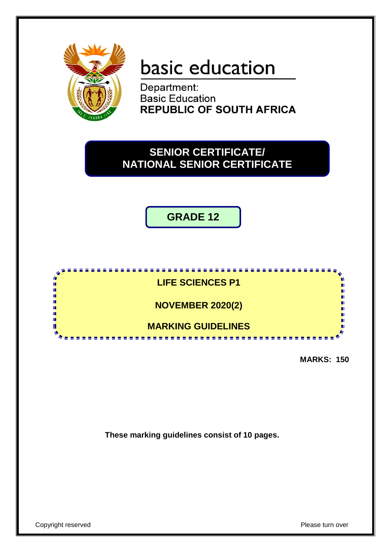

# basic education

Department: **Basic Education REPUBLIC OF SOUTH AFRICA** 

# **SENIOR CERTIFICATE/ NATIONAL SENIOR CERTIFICATE**

**GRADE 12**



**MARKS: 150**

**These marking guidelines consist of 10 pages.**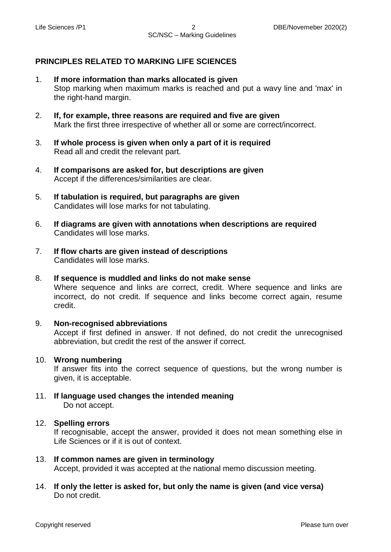## **PRINCIPLES RELATED TO MARKING LIFE SCIENCES**

- 1. **If more information than marks allocated is given** Stop marking when maximum marks is reached and put a wavy line and 'max' in the right-hand margin.
- 2. **If, for example, three reasons are required and five are given** Mark the first three irrespective of whether all or some are correct/incorrect.
- 3. **If whole process is given when only a part of it is required** Read all and credit the relevant part.
- 4. **If comparisons are asked for, but descriptions are given** Accept if the differences/similarities are clear.
- 5. **If tabulation is required, but paragraphs are given** Candidates will lose marks for not tabulating.
- 6. **If diagrams are given with annotations when descriptions are required** Candidates will lose marks.
- 7. **If flow charts are given instead of descriptions** Candidates will lose marks.
- 8. **If sequence is muddled and links do not make sense** Where sequence and links are correct, credit. Where sequence and links are incorrect, do not credit. If sequence and links become correct again, resume credit.

#### 9. **Non-recognised abbreviations**

Accept if first defined in answer. If not defined, do not credit the unrecognised abbreviation, but credit the rest of the answer if correct.

#### 10. **Wrong numbering**

If answer fits into the correct sequence of questions, but the wrong number is given, it is acceptable.

11. **If language used changes the intended meaning** Do not accept.

#### 12. **Spelling errors**

If recognisable, accept the answer, provided it does not mean something else in Life Sciences or if it is out of context.

- 13. **If common names are given in terminology** Accept, provided it was accepted at the national memo discussion meeting.
- 14. **If only the letter is asked for, but only the name is given (and vice versa)** Do not credit.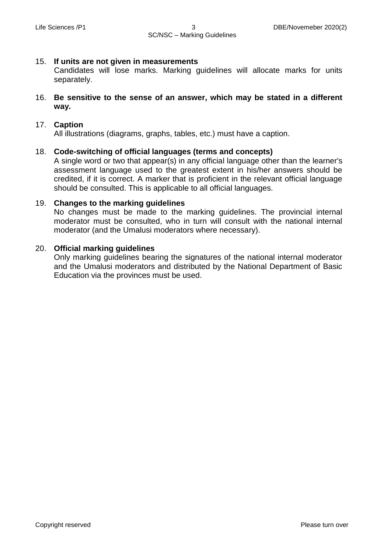#### 15. **If units are not given in measurements**

Candidates will lose marks. Marking guidelines will allocate marks for units separately.

16. **Be sensitive to the sense of an answer, which may be stated in a different way.**

## 17. **Caption**

All illustrations (diagrams, graphs, tables, etc.) must have a caption.

#### 18. **Code-switching of official languages (terms and concepts)**

A single word or two that appear(s) in any official language other than the learner's assessment language used to the greatest extent in his/her answers should be credited, if it is correct. A marker that is proficient in the relevant official language should be consulted. This is applicable to all official languages.

#### 19. **Changes to the marking guidelines**

No changes must be made to the marking guidelines. The provincial internal moderator must be consulted, who in turn will consult with the national internal moderator (and the Umalusi moderators where necessary).

#### 20. **Official marking guidelines**

Only marking guidelines bearing the signatures of the national internal moderator and the Umalusi moderators and distributed by the National Department of Basic Education via the provinces must be used.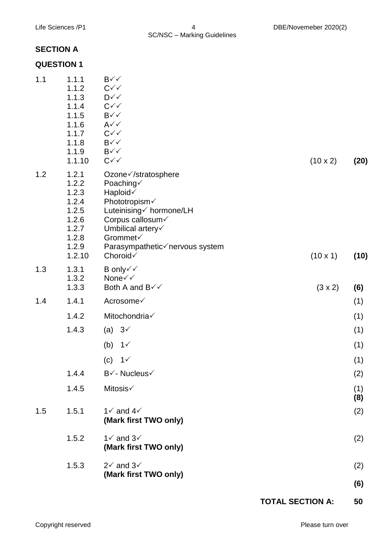# **SECTION A**

# **QUESTION 1**

|     | 1.1.5<br>1.1.6                                                                          | $\mathsf{B}\mathsf{v}\mathsf{v}$<br>$A\checkmark$                                                                                                                                         |                 |            |
|-----|-----------------------------------------------------------------------------------------|-------------------------------------------------------------------------------------------------------------------------------------------------------------------------------------------|-----------------|------------|
|     | 1.1.7<br>1.1.8                                                                          | $C\checkmark$<br>$B\checkmark\checkmark$                                                                                                                                                  |                 |            |
|     | 1.1.9<br>1.1.10                                                                         | $B\checkmark\checkmark$<br>$C\checkmark$                                                                                                                                                  | $(10 \times 2)$ | (20)       |
| 1.2 | 1.2.1<br>1.2.2<br>1.2.3<br>1.2.4<br>1.2.5<br>1.2.6<br>1.2.7<br>1.2.8<br>1.2.9<br>1.2.10 | Ozone√/stratosphere<br>Poaching√<br>Haploid√<br>Phototropism√<br>Luteinising√ hormone/LH<br>Corpus callosum<br>Umbilical artery<br>Grommet√<br>Parasympathetic√nervous system<br>Choroid√ | $(10 \times 1)$ | (10)       |
| 1.3 | 1.3.1<br>1.3.2<br>1.3.3                                                                 | B only√√<br>None√√<br>Both A and B√√                                                                                                                                                      | $(3 \times 2)$  | (6)        |
| 1.4 | 1.4.1                                                                                   | Acrosome√                                                                                                                                                                                 |                 | (1)        |
|     | 1.4.2                                                                                   | Mitochondria√                                                                                                                                                                             |                 | (1)        |
|     | 1.4.3                                                                                   | $3\checkmark$<br>(a)                                                                                                                                                                      |                 | (1)        |
|     |                                                                                         | (b)<br>$1\sqrt{ }$                                                                                                                                                                        |                 | (1)        |
|     |                                                                                         | 1 <sub>1</sub><br>(c)                                                                                                                                                                     |                 | (1)        |
|     | 1.4.4                                                                                   | B√- Nucleus√                                                                                                                                                                              |                 | (2)        |
|     | 1.4.5                                                                                   | Mitosis√                                                                                                                                                                                  |                 | (1)<br>(8) |
| 1.5 | 1.5.1                                                                                   | $1\checkmark$ and $4\checkmark$<br>(Mark first TWO only)                                                                                                                                  |                 | (2)        |
|     | 1.5.2                                                                                   | $1\check{ }$ and $3\check{ }$<br>(Mark first TWO only)                                                                                                                                    |                 | (2)        |
|     | 1.5.3                                                                                   | $2\checkmark$ and $3\checkmark$<br>(Mark first TWO only)                                                                                                                                  |                 | (2)        |
|     |                                                                                         |                                                                                                                                                                                           |                 | (6)        |

**TOTAL SECTION A: 50**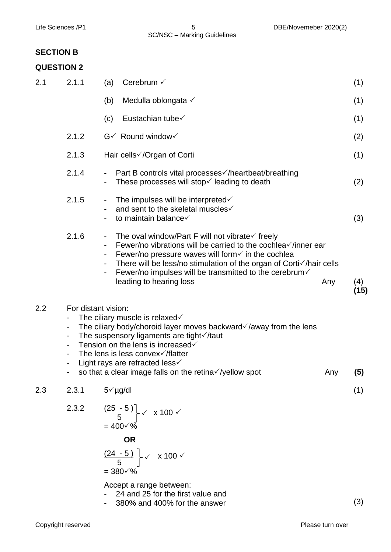# **QUESTION 2**

| Medulla oblongata √<br>(b)<br>(1)<br>Eustachian tube√<br>(c)<br>(1)<br>2.1.2<br>$G\checkmark$ Round window $\checkmark$<br>(2)<br>2.1.3<br>Hair cells√/Organ of Corti<br>(1)<br>2.1.4<br>Part B controls vital processes or /heartbeat/breathing<br>These processes will stop $\checkmark$ leading to death<br>(2)<br>2.1.5<br>The impulses will be interpreted $\checkmark$<br>and sent to the skeletal muscles√<br>to maintain balance√<br>(3)<br>2.1.6<br>The oval window/Part F will not vibrate $\checkmark$ freely<br>Fewer/no vibrations will be carried to the cochlea $\checkmark$ /inner ear<br>Fewer/no pressure waves will form $\checkmark$ in the cochlea<br>There will be less/no stimulation of the organ of Corti√/hair cells<br>Fewer/no impulses will be transmitted to the cerebrum $\checkmark$<br>leading to hearing loss<br>Any<br>(4)<br>(15)<br>2.2<br>For distant vision:<br>The ciliary muscle is relaxed $\checkmark$<br>The ciliary body/choroid layer moves backward $\checkmark$ /away from the lens<br>۰<br>The suspensory ligaments are tight $\checkmark$ /taut<br>$\qquad \qquad \blacksquare$<br>Tension on the lens is increased√<br>-<br>The lens is less convex $\sqrt{f}$ latter<br>Light rays are refracted less $\checkmark$<br>-<br>so that a clear image falls on the retina√/yellow spot<br>Any<br>(5)<br>2.3.1<br>$5\sqrt{\mu}$ g/dl<br>(1)<br>2.3<br>2.3.2<br>$\left(\frac{(25-5)}{5}\right)$ $\times$ x 100 $\times$<br>$= 400 \sqrt{\frac{6}{6}}$<br><b>OR</b><br>$\frac{(24-5)}{5}$ $\times$ 100 $\times$<br>$= 380 \sqrt{\%}$ | 2.1 | 2.1.1 | Cerebrum $\checkmark$<br>(a) | (1) |
|----------------------------------------------------------------------------------------------------------------------------------------------------------------------------------------------------------------------------------------------------------------------------------------------------------------------------------------------------------------------------------------------------------------------------------------------------------------------------------------------------------------------------------------------------------------------------------------------------------------------------------------------------------------------------------------------------------------------------------------------------------------------------------------------------------------------------------------------------------------------------------------------------------------------------------------------------------------------------------------------------------------------------------------------------------------------------------------------------------------------------------------------------------------------------------------------------------------------------------------------------------------------------------------------------------------------------------------------------------------------------------------------------------------------------------------------------------------------------------------------------------------------------------------------------------------------------------|-----|-------|------------------------------|-----|
|                                                                                                                                                                                                                                                                                                                                                                                                                                                                                                                                                                                                                                                                                                                                                                                                                                                                                                                                                                                                                                                                                                                                                                                                                                                                                                                                                                                                                                                                                                                                                                                  |     |       |                              |     |
|                                                                                                                                                                                                                                                                                                                                                                                                                                                                                                                                                                                                                                                                                                                                                                                                                                                                                                                                                                                                                                                                                                                                                                                                                                                                                                                                                                                                                                                                                                                                                                                  |     |       |                              |     |
|                                                                                                                                                                                                                                                                                                                                                                                                                                                                                                                                                                                                                                                                                                                                                                                                                                                                                                                                                                                                                                                                                                                                                                                                                                                                                                                                                                                                                                                                                                                                                                                  |     |       |                              |     |
|                                                                                                                                                                                                                                                                                                                                                                                                                                                                                                                                                                                                                                                                                                                                                                                                                                                                                                                                                                                                                                                                                                                                                                                                                                                                                                                                                                                                                                                                                                                                                                                  |     |       |                              |     |
|                                                                                                                                                                                                                                                                                                                                                                                                                                                                                                                                                                                                                                                                                                                                                                                                                                                                                                                                                                                                                                                                                                                                                                                                                                                                                                                                                                                                                                                                                                                                                                                  |     |       |                              |     |
|                                                                                                                                                                                                                                                                                                                                                                                                                                                                                                                                                                                                                                                                                                                                                                                                                                                                                                                                                                                                                                                                                                                                                                                                                                                                                                                                                                                                                                                                                                                                                                                  |     |       |                              |     |
|                                                                                                                                                                                                                                                                                                                                                                                                                                                                                                                                                                                                                                                                                                                                                                                                                                                                                                                                                                                                                                                                                                                                                                                                                                                                                                                                                                                                                                                                                                                                                                                  |     |       |                              |     |
|                                                                                                                                                                                                                                                                                                                                                                                                                                                                                                                                                                                                                                                                                                                                                                                                                                                                                                                                                                                                                                                                                                                                                                                                                                                                                                                                                                                                                                                                                                                                                                                  |     |       |                              |     |
|                                                                                                                                                                                                                                                                                                                                                                                                                                                                                                                                                                                                                                                                                                                                                                                                                                                                                                                                                                                                                                                                                                                                                                                                                                                                                                                                                                                                                                                                                                                                                                                  |     |       |                              |     |
|                                                                                                                                                                                                                                                                                                                                                                                                                                                                                                                                                                                                                                                                                                                                                                                                                                                                                                                                                                                                                                                                                                                                                                                                                                                                                                                                                                                                                                                                                                                                                                                  |     |       |                              |     |
|                                                                                                                                                                                                                                                                                                                                                                                                                                                                                                                                                                                                                                                                                                                                                                                                                                                                                                                                                                                                                                                                                                                                                                                                                                                                                                                                                                                                                                                                                                                                                                                  |     |       |                              |     |
|                                                                                                                                                                                                                                                                                                                                                                                                                                                                                                                                                                                                                                                                                                                                                                                                                                                                                                                                                                                                                                                                                                                                                                                                                                                                                                                                                                                                                                                                                                                                                                                  |     |       | Accept a range between:      |     |

- 24 and 25 for the first value and
- 380% and 400% for the answer

(3)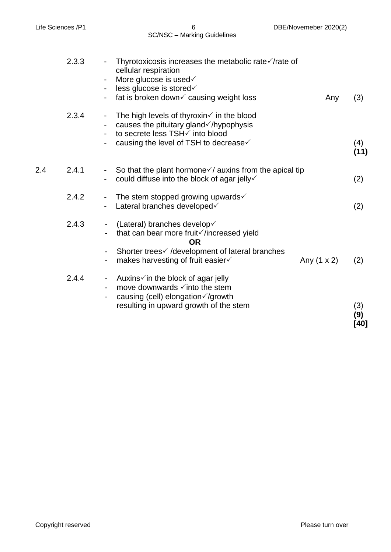SC/NSC – Marking Guidelines

|     | 2.3.3 | Thyrotoxicosis increases the metabolic rate√/rate of<br>cellular respiration<br>More glucose is used v<br>$\blacksquare$<br>less glucose is stored√<br>$\blacksquare$                                                          |               |                      |
|-----|-------|--------------------------------------------------------------------------------------------------------------------------------------------------------------------------------------------------------------------------------|---------------|----------------------|
|     | 2.3.4 | fat is broken down√ causing weight loss<br>The high levels of thyroxin $\checkmark$ in the blood<br>$\blacksquare$<br>causes the pituitary gland $\checkmark$ /hypophysis<br>$\blacksquare$<br>to secrete less TSH√ into blood | Any           | (3)                  |
|     |       | causing the level of TSH to decrease ✓                                                                                                                                                                                         |               | (4)<br>(11)          |
| 2.4 | 2.4.1 | So that the plant hormone $\checkmark$ auxins from the apical tip<br>-<br>could diffuse into the block of agar jelly√                                                                                                          |               | (2)                  |
|     | 2.4.2 | The stem stopped growing upwards $\checkmark$<br>$\blacksquare$<br>Lateral branches developed v                                                                                                                                |               | (2)                  |
|     | 2.4.3 | (Lateral) branches develop√<br>-<br>that can bear more fruit increased yield<br><b>OR</b>                                                                                                                                      |               |                      |
|     |       | Shorter trees i /development of lateral branches<br>makes harvesting of fruit easier√                                                                                                                                          | Any $(1 x 2)$ | (2)                  |
|     | 2.4.4 | Auxins√in the block of agar jelly<br>$\blacksquare$<br>move downwards $\checkmark$ into the stem<br>causing (cell) elongation√/growth                                                                                          |               |                      |
|     |       | resulting in upward growth of the stem                                                                                                                                                                                         |               | (3)<br>(9)<br>$[40]$ |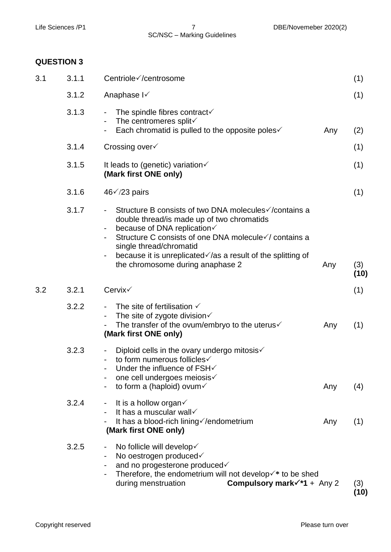## **QUESTION 3**

| 3.1 | 3.1.1 | Centriole√/centrosome                                                                                                                                                                                                                                                                                                                                                      | (1)         |
|-----|-------|----------------------------------------------------------------------------------------------------------------------------------------------------------------------------------------------------------------------------------------------------------------------------------------------------------------------------------------------------------------------------|-------------|
|     | 3.1.2 | Anaphase I√                                                                                                                                                                                                                                                                                                                                                                | (1)         |
|     | 3.1.3 | The spindle fibres contract $\checkmark$<br>$\overline{\phantom{a}}$<br>The centromeres split<br>$\blacksquare$<br>Each chromatid is pulled to the opposite poles√<br>Any                                                                                                                                                                                                  | (2)         |
|     | 3.1.4 | Crossing over√                                                                                                                                                                                                                                                                                                                                                             | (1)         |
|     | 3.1.5 | It leads to (genetic) variation $\checkmark$<br>(Mark first ONE only)                                                                                                                                                                                                                                                                                                      | (1)         |
|     | 3.1.6 | $46\sqrt{23}$ pairs                                                                                                                                                                                                                                                                                                                                                        | (1)         |
|     | 3.1.7 | Structure B consists of two DNA molecules ∕/contains a<br>double thread/is made up of two chromatids<br>because of DNA replication√<br>Structure C consists of one DNA molecule√/ contains a<br>single thread/chromatid<br>because it is unreplicated $\sqrt{a}$ s a result of the splitting of<br>$\qquad \qquad \blacksquare$<br>the chromosome during anaphase 2<br>Any | (3)<br>(10) |
| 3.2 | 3.2.1 | Cervix√                                                                                                                                                                                                                                                                                                                                                                    | (1)         |
|     | 3.2.2 | The site of fertilisation $\checkmark$<br>The site of zygote division $\checkmark$<br>$\blacksquare$<br>The transfer of the ovum/embryo to the uterus $\checkmark$<br>Any<br>(Mark first ONE only)                                                                                                                                                                         | (1)         |
|     | 3.2.3 | Diploid cells in the ovary undergo mitosis $\checkmark$<br>to form numerous follicles√<br>Under the influence of FSH√<br>one cell undergoes meiosis√<br>to form a (haploid) ovum $\checkmark$<br>Any                                                                                                                                                                       | (4)         |
|     | 3.2.4 | It is a hollow organ $\checkmark$<br>$\blacksquare$<br>It has a muscular wall<br>$\overline{\phantom{0}}$<br>It has a blood-rich lining //endometrium<br>Any<br>(Mark first ONE only)                                                                                                                                                                                      | (1)         |
|     | 3.2.5 | No follicle will develop√<br>$\blacksquare$<br>No oestrogen produced<br>$\blacksquare$<br>and no progesterone produced<br>Therefore, the endometrium will not develop $\checkmark^*$ to be shed<br>Compulsory mark $\checkmark$ *1 + Any 2<br>during menstruation                                                                                                          | (3)         |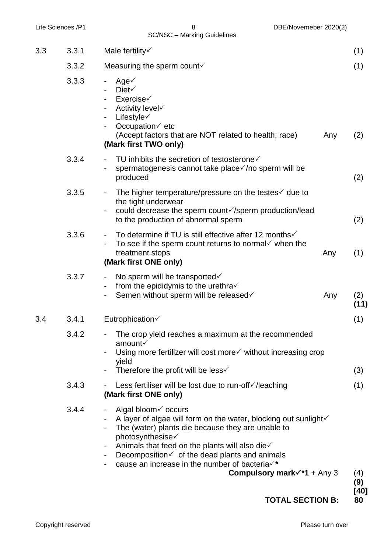| Life Sciences /P1 |       | 8<br>DBE/Novemeber 2020(2)<br><b>SC/NSC - Marking Guidelines</b>                                                                                                                                                                                                                                                                                                                                                            |     |              |
|-------------------|-------|-----------------------------------------------------------------------------------------------------------------------------------------------------------------------------------------------------------------------------------------------------------------------------------------------------------------------------------------------------------------------------------------------------------------------------|-----|--------------|
| 3.3               | 3.3.1 | Male fertility $\checkmark$                                                                                                                                                                                                                                                                                                                                                                                                 |     | (1)          |
|                   | 3.3.2 | Measuring the sperm count $\checkmark$                                                                                                                                                                                                                                                                                                                                                                                      |     | (1)          |
|                   | 3.3.3 | Age $\checkmark$<br>Diet $\checkmark$<br>Exercise <sub>6</sub><br>Activity level√<br>Lifestyle $\checkmark$<br>Occupation√ etc<br>(Accept factors that are NOT related to health; race)<br>(Mark first TWO only)                                                                                                                                                                                                            | Any | (2)          |
|                   | 3.3.4 | TU inhibits the secretion of testosterone $\checkmark$<br>spermatogenesis cannot take place√/no sperm will be<br>produced                                                                                                                                                                                                                                                                                                   |     | (2)          |
|                   | 3.3.5 | The higher temperature/pressure on the testes $\checkmark$ due to<br>the tight underwear<br>could decrease the sperm count√/sperm production/lead<br>to the production of abnormal sperm                                                                                                                                                                                                                                    |     | (2)          |
|                   | 3.3.6 | To determine if TU is still effective after 12 months√<br>To see if the sperm count returns to normal $\checkmark$ when the<br>treatment stops<br>(Mark first ONE only)                                                                                                                                                                                                                                                     | Any | (1)          |
|                   | 3.3.7 | No sperm will be transported<br>from the epididymis to the urethra $\checkmark$<br>Semen without sperm will be released√<br>$\blacksquare$                                                                                                                                                                                                                                                                                  | Any | (2)<br>(11)  |
| 3.4               | 3.4.1 | Eutrophication√                                                                                                                                                                                                                                                                                                                                                                                                             |     | (1)          |
|                   | 3.4.2 | The crop yield reaches a maximum at the recommended<br>amount√                                                                                                                                                                                                                                                                                                                                                              |     |              |
|                   |       | Using more fertilizer will cost more vithout increasing crop<br>yield                                                                                                                                                                                                                                                                                                                                                       |     |              |
|                   |       | Therefore the profit will be less $\checkmark$                                                                                                                                                                                                                                                                                                                                                                              |     | (3)          |
|                   | 3.4.3 | Less fertiliser will be lost due to run-off√/leaching<br>(Mark first ONE only)                                                                                                                                                                                                                                                                                                                                              |     | (1)          |
|                   | 3.4.4 | Algal bloom v occurs<br>$\blacksquare$<br>A layer of algae will form on the water, blocking out sunlight<br>The (water) plants die because they are unable to<br>photosynthesise√<br>Animals that feed on the plants will also die $\checkmark$<br>$\blacksquare$<br>Decomposition $\checkmark$ of the dead plants and animals<br>cause an increase in the number of bacteria √*<br>Compulsory mark $\checkmark$ *1 + Any 3 |     | (4)<br>(9)   |
|                   |       | <b>TOTAL SECTION B:</b>                                                                                                                                                                                                                                                                                                                                                                                                     |     | $[40]$<br>80 |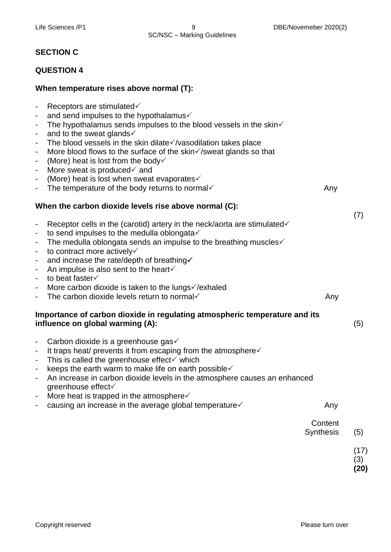# **SECTION C**

## **QUESTION 4**

## **When temperature rises above normal (T):**

| $\overline{\phantom{0}}$<br>$\overline{a}$<br>$\blacksquare$<br>$\overline{\phantom{a}}$<br>$\blacksquare$<br>$\blacksquare$<br>$\overline{\phantom{a}}$<br>$\blacksquare$<br>$\overline{\phantom{a}}$ | Receptors are stimulated√<br>and send impulses to the hypothalamus<br>The hypothalamus sends impulses to the blood vessels in the skin $\checkmark$<br>and to the sweat glands√<br>The blood vessels in the skin dilate√/vasodilation takes place<br>More blood flows to the surface of the skin $\sqrt{\ }$ /sweat glands so that<br>(More) heat is lost from the body $\checkmark$<br>More sweat is produced $\checkmark$ and<br>(More) heat is lost when sweat evaporates |                      |                     |
|--------------------------------------------------------------------------------------------------------------------------------------------------------------------------------------------------------|------------------------------------------------------------------------------------------------------------------------------------------------------------------------------------------------------------------------------------------------------------------------------------------------------------------------------------------------------------------------------------------------------------------------------------------------------------------------------|----------------------|---------------------|
| $\qquad \qquad \blacksquare$                                                                                                                                                                           | The temperature of the body returns to normal                                                                                                                                                                                                                                                                                                                                                                                                                                | Any                  |                     |
|                                                                                                                                                                                                        | When the carbon dioxide levels rise above normal (C):                                                                                                                                                                                                                                                                                                                                                                                                                        |                      | (7)                 |
| $\overline{\phantom{0}}$<br>$\blacksquare$                                                                                                                                                             | Receptor cells in the (carotid) artery in the neck/aorta are stimulated $\checkmark$<br>to send impulses to the medulla oblongata                                                                                                                                                                                                                                                                                                                                            |                      |                     |
| $\blacksquare$                                                                                                                                                                                         | The medulla oblongata sends an impulse to the breathing muscles $\checkmark$                                                                                                                                                                                                                                                                                                                                                                                                 |                      |                     |
| $\overline{\phantom{a}}$<br>$\blacksquare$                                                                                                                                                             | to contract more actively<br>and increase the rate/depth of breathing√                                                                                                                                                                                                                                                                                                                                                                                                       |                      |                     |
| $\blacksquare$                                                                                                                                                                                         | An impulse is also sent to the heart√                                                                                                                                                                                                                                                                                                                                                                                                                                        |                      |                     |
| $\blacksquare$                                                                                                                                                                                         | to beat faster√                                                                                                                                                                                                                                                                                                                                                                                                                                                              |                      |                     |
| $\overline{\phantom{0}}$                                                                                                                                                                               | More carbon dioxide is taken to the lungs ∕/exhaled<br>The carbon dioxide levels return to normal $\checkmark$                                                                                                                                                                                                                                                                                                                                                               | Any                  |                     |
|                                                                                                                                                                                                        | Importance of carbon dioxide in regulating atmospheric temperature and its<br>influence on global warming (A):                                                                                                                                                                                                                                                                                                                                                               |                      | (5)                 |
| $\overline{\phantom{0}}$                                                                                                                                                                               | Carbon dioxide is a greenhouse gas√                                                                                                                                                                                                                                                                                                                                                                                                                                          |                      |                     |
| $\blacksquare$<br>$\overline{\phantom{a}}$                                                                                                                                                             | It traps heat/ prevents it from escaping from the atmosphere<br>This is called the greenhouse effect√ which                                                                                                                                                                                                                                                                                                                                                                  |                      |                     |
| $\blacksquare$                                                                                                                                                                                         | keeps the earth warm to make life on earth possible√                                                                                                                                                                                                                                                                                                                                                                                                                         |                      |                     |
| $\overline{\phantom{0}}$                                                                                                                                                                               | An increase in carbon dioxide levels in the atmosphere causes an enhanced<br>greenhouse effect√                                                                                                                                                                                                                                                                                                                                                                              |                      |                     |
|                                                                                                                                                                                                        | More heat is trapped in the atmosphere $\checkmark$                                                                                                                                                                                                                                                                                                                                                                                                                          |                      |                     |
|                                                                                                                                                                                                        | causing an increase in the average global temperature√                                                                                                                                                                                                                                                                                                                                                                                                                       | Any                  |                     |
|                                                                                                                                                                                                        |                                                                                                                                                                                                                                                                                                                                                                                                                                                                              | Content<br>Synthesis | (5)                 |
|                                                                                                                                                                                                        |                                                                                                                                                                                                                                                                                                                                                                                                                                                                              |                      | (17)<br>(3)<br>(20) |